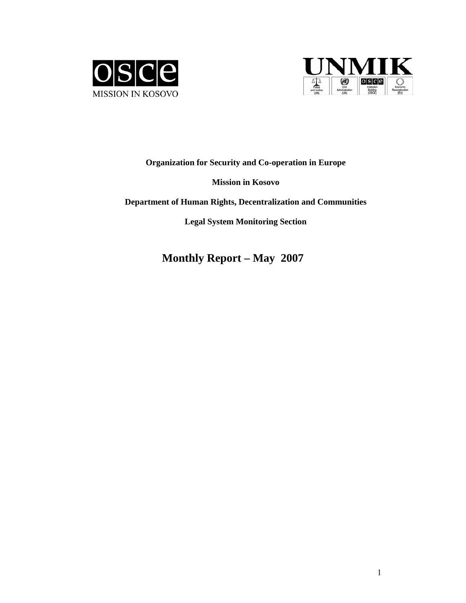



**Organization for Security and Co-operation in Europe** 

## **Mission in Kosovo**

**Department of Human Rights, Decentralization and Communities** 

**Legal System Monitoring Section** 

**Monthly Report – May 2007**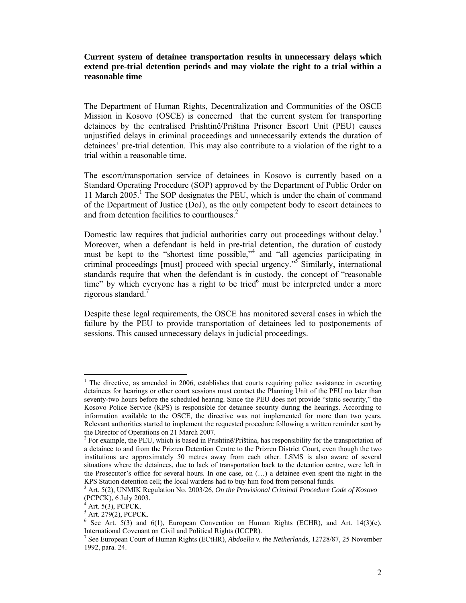## **Current system of detainee transportation results in unnecessary delays which extend pre-trial detention periods and may violate the right to a trial within a reasonable time**

The Department of Human Rights, Decentralization and Communities of the OSCE Mission in Kosovo (OSCE) is concerned that the current system for transporting detainees by the centralised Prishtinë/Priština Prisoner Escort Unit (PEU) causes unjustified delays in criminal proceedings and unnecessarily extends the duration of detainees' pre-trial detention. This may also contribute to a violation of the right to a trial within a reasonable time.

The escort/transportation service of detainees in Kosovo is currently based on a Standard Operating Procedure (SOP) approved by the Department of Public Order on 11 March 2005.<sup>1</sup> The SOP designates the PEU, which is under the chain of command of the Department of Justice (DoJ), as the only competent body to escort detainees to and from detention facilities to courthouses.<sup>2</sup>

Domestic law requires that judicial authorities carry out proceedings without delay.<sup>3</sup> Moreover, when a defendant is held in pre-trial detention, the duration of custody must be kept to the "shortest time possible,"<sup>4</sup> and "all agencies participating in criminal proceedings [must] proceed with special urgency."5 Similarly, international standards require that when the defendant is in custody, the concept of "reasonable time" by which everyone has a right to be tried $6$  must be interpreted under a more rigorous standard.7

Despite these legal requirements, the OSCE has monitored several cases in which the failure by the PEU to provide transportation of detainees led to postponements of sessions. This caused unnecessary delays in judicial proceedings.

<sup>1</sup> The directive, as amended in 2006, establishes that courts requiring police assistance in escorting detainees for hearings or other court sessions must contact the Planning Unit of the PEU no later than seventy-two hours before the scheduled hearing. Since the PEU does not provide "static security," the Kosovo Police Service (KPS) is responsible for detainee security during the hearings. According to information available to the OSCE, the directive was not implemented for more than two years. Relevant authorities started to implement the requested procedure following a written reminder sent by the Director of Operations on 21 March 2007.

 $2^2$  For example, the PEU, which is based in Prishtinë/Priština, has responsibility for the transportation of a detainee to and from the Prizren Detention Centre to the Prizren District Court, even though the two institutions are approximately 50 metres away from each other. LSMS is also aware of several situations where the detainees, due to lack of transportation back to the detention centre, were left in the Prosecutor's office for several hours. In one case, on (…) a detainee even spent the night in the KPS Station detention cell; the local wardens had to buy him food from personal funds.

<sup>3</sup> Art. 5(2), UNMIK Regulation No. 2003/26, *On the Provisional Criminal Procedure Code of Kosovo*  (PCPCK), 6 July 2003.

<sup>4</sup> Art. 5(3), PCPCK.

 $<sup>5</sup>$  Art. 279(2), PCPCK.</sup>

<sup>&</sup>lt;sup>6</sup> See Art. 5(3) and 6(1), European Convention on Human Rights (ECHR), and Art. 14(3)(c), International Covenant on Civil and Political Rights (ICCPR).

<sup>7</sup> See European Court of Human Rights (ECtHR), *Abdoella v. the Netherlands,* 12728/87, 25 November 1992, para. 24.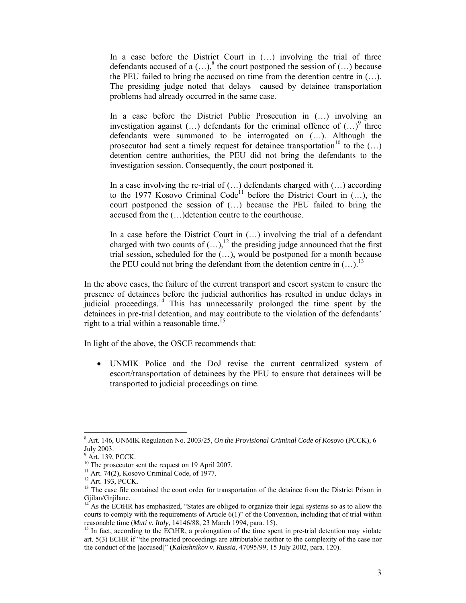In a case before the District Court in  $(...)$  involving the trial of three defendants accused of a  $(...)$ <sup>8</sup>, the court postponed the session of  $(...)$  because the PEU failed to bring the accused on time from the detention centre in (…). The presiding judge noted that delays caused by detainee transportation problems had already occurred in the same case.

In a case before the District Public Prosecution in (…) involving an investigation against  $(...)$  defendants for the criminal offence of  $(...)^\circ$  three defendants were summoned to be interrogated on (…). Although the prosecutor had sent a timely request for detainee transportation<sup>10</sup> to the  $(...)$ detention centre authorities, the PEU did not bring the defendants to the investigation session. Consequently, the court postponed it.

In a case involving the re-trial of  $(...)$  defendants charged with  $(...)$  according to the 1977 Kosovo Criminal Code<sup>11</sup> before the District Court in  $(...)$ , the court postponed the session of (…) because the PEU failed to bring the accused from the (…)detention centre to the courthouse.

In a case before the District Court in (…) involving the trial of a defendant charged with two counts of  $(...),^{12}$  the presiding judge announced that the first trial session, scheduled for the  $(\ldots)$ , would be postponed for a month because the PEU could not bring the defendant from the detention centre in  $(...).^{13}$ 

In the above cases, the failure of the current transport and escort system to ensure the presence of detainees before the judicial authorities has resulted in undue delays in judicial proceedings.<sup>14</sup> This has unnecessarily prolonged the time spent by the detainees in pre-trial detention, and may contribute to the violation of the defendants' right to a trial within a reasonable time.<sup>15</sup>

In light of the above, the OSCE recommends that:

• UNMIK Police and the DoJ revise the current centralized system of escort/transportation of detainees by the PEU to ensure that detainees will be transported to judicial proceedings on time.

 $\overline{a}$ 8 Art. 146, UNMIK Regulation No. 2003/25, *On the Provisional Criminal Code of Kosovo* (PCCK), 6 July 2003.

<sup>&</sup>lt;sup>9</sup> Art. 139, PCCK.

<sup>&</sup>lt;sup>10</sup> The prosecutor sent the request on 19 April 2007.

<sup>&</sup>lt;sup>11</sup> Art. 74(2), Kosovo Criminal Code, of 1977.

<sup>&</sup>lt;sup>12</sup> Art. 193, PCCK.

<sup>&</sup>lt;sup>13</sup> The case file contained the court order for transportation of the detainee from the District Prison in Gjilan/Gnjilane.

<sup>14</sup> As the ECtHR has emphasized, "States are obliged to organize their legal systems so as to allow the courts to comply with the requirements of Article 6(1)" of the Convention, including that of trial within

reasonable time (*Muti v. Italy*, 14146/88, 23 March 1994, para. 15).<br><sup>15</sup> In fact, according to the ECtHR, a prolongation of the time spent in pre-trial detention may violate art. 5(3) ECHR if "the protracted proceedings are attributable neither to the complexity of the case nor the conduct of the [accused]" (*Kalashnikov v. Russia,* 47095/99, 15 July 2002, para. 120).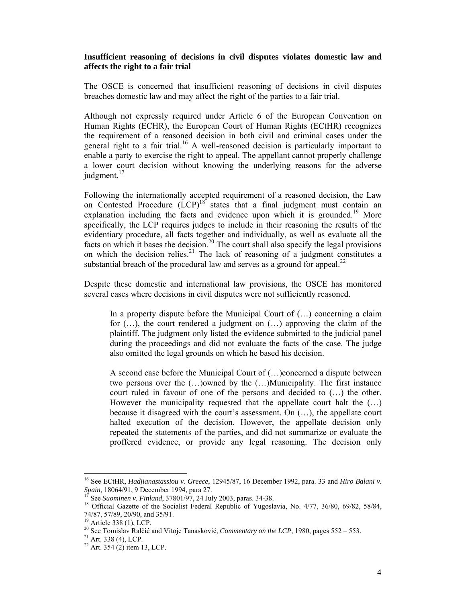## **Insufficient reasoning of decisions in civil disputes violates domestic law and affects the right to a fair trial**

The OSCE is concerned that insufficient reasoning of decisions in civil disputes breaches domestic law and may affect the right of the parties to a fair trial.

Although not expressly required under Article 6 of the European Convention on Human Rights (ECHR), the European Court of Human Rights (ECtHR) recognizes the requirement of a reasoned decision in both civil and criminal cases under the general right to a fair trial.<sup>16</sup> A well-reasoned decision is particularly important to enable a party to exercise the right to appeal. The appellant cannot properly challenge a lower court decision without knowing the underlying reasons for the adverse judgment. $17$ 

Following the internationally accepted requirement of a reasoned decision, the Law on Contested Procedure (LCP)<sup>18</sup> states that a final judgment must contain an explanation including the facts and evidence upon which it is grounded.<sup>19</sup> More specifically, the LCP requires judges to include in their reasoning the results of the evidentiary procedure, all facts together and individually, as well as evaluate all the facts on which it bases the decision.<sup>20</sup> The court shall also specify the legal provisions on which the decision relies.<sup>21</sup> The lack of reasoning of a judgment constitutes a substantial breach of the procedural law and serves as a ground for appeal.<sup>22</sup>

Despite these domestic and international law provisions, the OSCE has monitored several cases where decisions in civil disputes were not sufficiently reasoned.

In a property dispute before the Municipal Court of  $(...)$  concerning a claim for  $(...)$ , the court rendered a judgment on  $(...)$  approving the claim of the plaintiff. The judgment only listed the evidence submitted to the judicial panel during the proceedings and did not evaluate the facts of the case. The judge also omitted the legal grounds on which he based his decision.

A second case before the Municipal Court of (…)concerned a dispute between two persons over the (…)owned by the (…)Municipality. The first instance court ruled in favour of one of the persons and decided to (…) the other. However the municipality requested that the appellate court halt the (…) because it disagreed with the court's assessment. On (…), the appellate court halted execution of the decision. However, the appellate decision only repeated the statements of the parties, and did not summarize or evaluate the proffered evidence, or provide any legal reasoning. The decision only

 $\overline{a}$ 

<sup>16</sup> See ECtHR, *Hadjianastassiou v. Greece*, 12945/87, 16 December 1992, para. 33 and *Hiro Balani v. Spain*, 18064/91, 9 December 1994, para 27. 17 See *Suominen v. Finland*, 37801/97, 24 July 2003, paras. 34-38. 18 Official Gazette of the Socialist Federal Republic of Yugoslavia, No. 4/77, 36/80, 69/82, 58/84, <sup>18</sup>

<sup>74/87, 57/89, 20/90,</sup> and 35/91.

<sup>&</sup>lt;sup>19</sup> Article 338 (1), LCP.

<sup>20</sup> See Tomislav Ralčić and Vitoje Tanasković*, Commentary on the LCP*, 1980, pages 552 – 553.<br><sup>21</sup> Art. 338 (4), LCP.

 $^{22}$  Art. 354 (2) item 13, LCP.